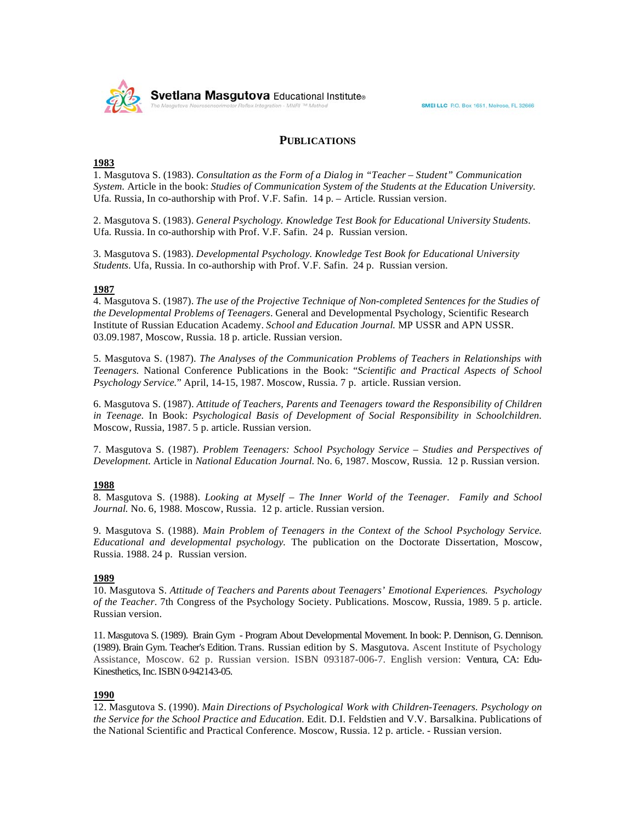

# **PUBLICATIONS**

## **1983**

1. Masgutova S. (1983). *Consultation as the Form of a Dialog in "Teacher – Student" Communication System.* Article in the book: *Studies of Communication System of the Students at the Education University.* Ufa. Russia, In co-authorship with Prof. V.F. Safin. 14 p. – Article. Russian version.

2. Masgutova S. (1983). *General Psychology. Knowledge Test Book for Educational University Students.*  Ufa. Russia. In co-authorship with Prof. V.F. Safin. 24 p. Russian version.

3. Masgutova S. (1983). *Developmental Psychology. Knowledge Test Book for Educational University Students.* Ufa, Russia. In co-authorship with Prof. V.F. Safin. 24 p. Russian version.

## **1987**

4. Masgutova S. (1987). *The use of the Projective Technique of Non-completed Sentences for the Studies of the Developmental Problems of Teenagers*. General and Developmental Psychology, Scientific Research Institute of Russian Education Academy. *School and Education Journal.* MP USSR and APN USSR. 03.09.1987, Moscow, Russia. 18 p. article. Russian version.

5. Masgutova S. (1987). *The Analyses of the Communication Problems of Teachers in Relationships with Teenagers.* National Conference Publications in the Book: "*Scientific and Practical Aspects of School Psychology Service.*" April, 14-15, 1987. Moscow, Russia. 7 p. article. Russian version.

6. Masgutova S. (1987). *Attitude of Teachers, Parents and Teenagers toward the Responsibility of Children in Teenage*. In Book: *Psychological Basis of Development of Social Responsibility in Schoolchildren*. Moscow, Russia, 1987. 5 p. article. Russian version.

7. Masgutova S. (1987). *Problem Teenagers: School Psychology Service – Studies and Perspectives of Development*. Article in *National Education Journal*. No. 6, 1987. Moscow, Russia. 12 p. Russian version.

## **1988**

8. Masgutova S. (1988). *Looking at Myself – The Inner World of the Teenager. Family and School Journal.* No. 6, 1988. Moscow, Russia. 12 p. article. Russian version.

9. Masgutova S. (1988). *Main Problem of Teenagers in the Context of the School Psychology Service. Educational and developmental psychology.* The publication on the Doctorate Dissertation, Moscow, Russia. 1988. 24 p. Russian version.

#### **1989**

10. Masgutova S. *Attitude of Teachers and Parents about Teenagers' Emotional Experiences. Psychology of the Teacher*. 7th Congress of the Psychology Society. Publications. Moscow, Russia, 1989. 5 p. article. Russian version.

11. Masgutova S. (1989). Brain Gym - Program About Developmental Movement. In book: P. Dennison, G. Dennison. (1989). Brain Gym. Teacher's Edition. Trans. Russian edition by S. Masgutova. Ascent Institute of Psychology Assistance, Moscow. 62 p. Russian version. ISBN 093187-006-7. English version: Ventura, CA: Edu-Kinesthetics, Inc. ISBN 0-942143-05.

## **1990**

12. Masgutova S. (1990). *Main Directions of Psychological Work with Children-Teenagers. Psychology on the Service for the School Practice and Education*. Edit. D.I. Feldstien and V.V. Barsalkina. Publications of the National Scientific and Practical Conference. Moscow, Russia. 12 p. article. - Russian version.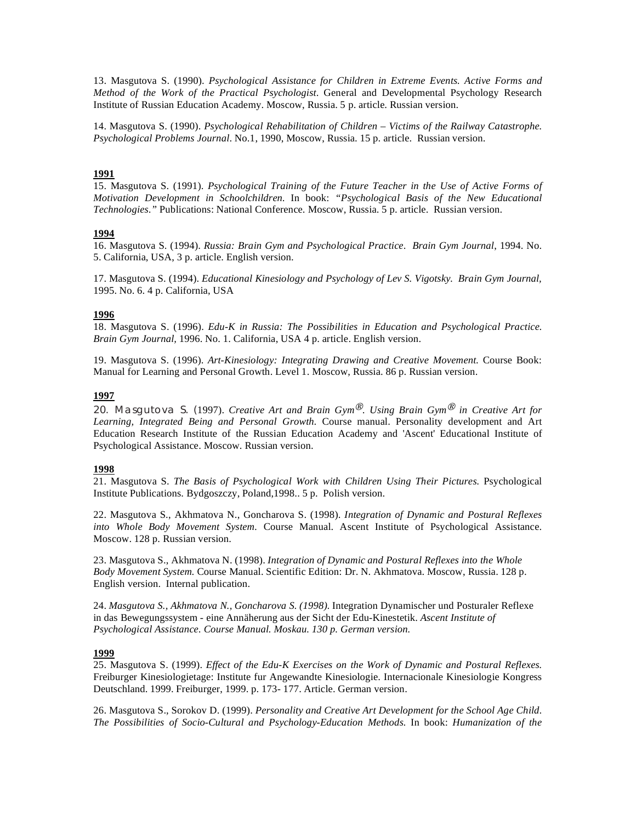13. Masgutova S. (1990). *Psychological Assistance for Children in Extreme Events. Active Forms and Method of the Work of the Practical Psychologist*. General and Developmental Psychology Research Institute of Russian Education Academy. Moscow, Russia. 5 p. article. Russian version.

14. Masgutova S. (1990). *Psychological Rehabilitation of Children – Victims of the Railway Catastrophe. Psychological Problems Journal*. No.1, 1990, Moscow, Russia. 15 p. article. Russian version.

## **1991**

15. Masgutova S. (1991). *Psychological Training of the Future Teacher in the Use of Active Forms of Motivation Development in Schoolchildren*. In book: *"Psychological Basis of the New Educational Technologies."* Publications: National Conference. Moscow, Russia. 5 p. article. Russian version.

## **1994**

16. Masgutova S. (1994). *Russia: Brain Gym and Psychological Practice*. *Brain Gym Journal*, 1994. No. 5. California, USA, 3 p. article. English version.

17. Masgutova S. (1994). *Educational Kinesiology and Psychology of Lev S. Vigotsky. Brain Gym Journal,* 1995. No. 6. 4 p. California, USA

# **1996**

18. Masgutova S. (1996). *Edu-K in Russia: The Possibilities in Education and Psychological Practice. Brain Gym Journal,* 1996. No. 1. California, USA 4 p. article. English version.

19. Masgutova S. (1996). *Art-Kinesiology: Integrating Drawing and Creative Movement*. Course Book: Manual for Learning and Personal Growth. Level 1. Moscow, Russia. 86 p. Russian version.

#### **1997**

20. Masgutova S. (1997). *Creative Art and Brain Gym<sup>®</sup>. Using Brain Gym<sup>®</sup> in Creative Art for Learning, Integrated Being and Personal Growth*. Course manual. Personality development and Art Education Research Institute of the Russian Education Academy and 'Ascent' Educational Institute of Psychological Assistance. Moscow. Russian version.

# **1998**

21. Masgutova S. *The Basis of Psychological Work with Children Using Their Pictures.* Psychological Institute Publications. Bydgoszczy, Poland,1998.. 5 p. Polish version.

22. Masgutova S., Akhmatova N., Goncharova S. (1998). *Integration of Dynamic and Postural Reflexes into Whole Body Movement System.* Course Manual. Ascent Institute of Psychological Assistance. Moscow. 128 p. Russian version.

23. Masgutova S., Akhmatova N. (1998). *Integration of Dynamic and Postural Reflexes into the Whole Body Movement System.* Course Manual. Scientific Edition: Dr. N. Akhmatova. Moscow, Russia. 128 p. English version. Internal publication.

24. *Masgutova S., Akhmatova N., Goncharova S. (1998).* Integration Dynamischer und Posturaler Reflexe in das Bewegungssystem - eine Annäherung aus der Sicht der Edu-Kinestetik. *Ascent Institute of Psychological Assistance. Course Manual. Moskau. 130 p. German version.*

# **1999**

25. Masgutova S. (1999). *Effect of the Edu-K Exercises on the Work of Dynamic and Postural Reflexes.* Freiburger Kinesiologietage: Institute fur Angewandte Kinesiologie. Internacionale Kinesiologie Kongress Deutschland. 1999. Freiburger, 1999. p. 173- 177. Article. German version.

26. Masgutova S., Sorokov D. (1999). *Personality and Creative Art Development for the School Age Child. The Possibilities of Socio-Cultural and Psychology-Education Methods.* In book: *Humanization of the*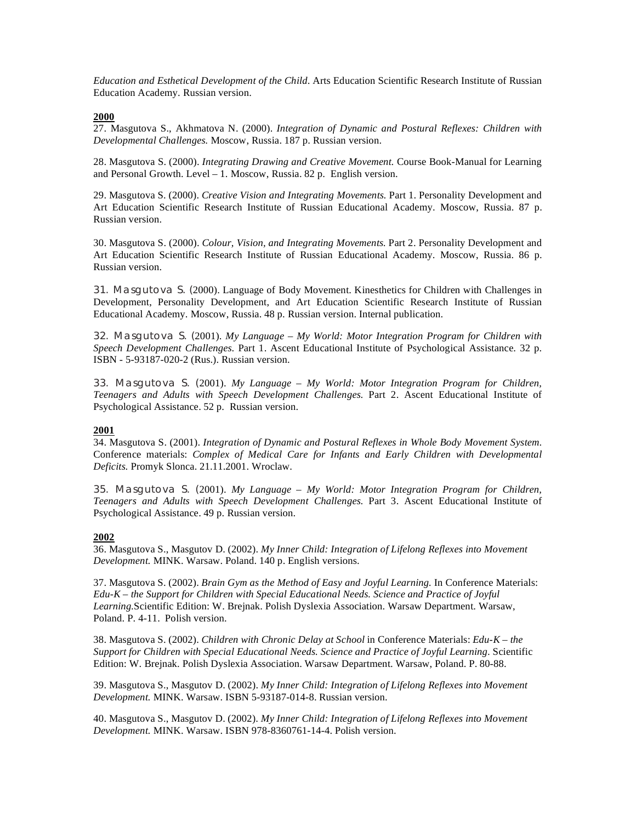*Education and Esthetical Development of the Child.* Arts Education Scientific Research Institute of Russian Education Academy. Russian version.

## **2000**

27. Masgutova S., Akhmatova N. (2000). *Integration of Dynamic and Postural Reflexes: Children with Developmental Challenges.* Moscow, Russia. 187 p. Russian version.

28. Masgutova S. (2000). *Integrating Drawing and Creative Movement.* Course Book-Manual for Learning and Personal Growth. Level – 1. Moscow, Russia. 82 p. English version.

29. Masgutova S. (2000). *Creative Vision and Integrating Movements.* Part 1. Personality Development and Art Education Scientific Research Institute of Russian Educational Academy. Moscow, Russia. 87 p. Russian version.

30. Masgutova S. (2000). *Colour, Vision, and Integrating Movements.* Part 2. Personality Development and Art Education Scientific Research Institute of Russian Educational Academy. Moscow, Russia. 86 p. Russian version.

31. Masgutova S. (2000). Language of Body Movement. Kinesthetics for Children with Challenges in Development, Personality Development, and Art Education Scientific Research Institute of Russian Educational Academy. Moscow, Russia. 48 p. Russian version. Internal publication.

32. Masgutova S. (2001). *My Language – My World: Motor Integration Program for Children with Speech Development Challenges*. Part 1. Ascent Educational Institute of Psychological Assistance. 32 p. ISBN - 5-93187-020-2 (Rus.). Russian version.

33. Masgutova S. (2001). *My Language – My World: Motor Integration Program for Children, Teenagers and Adults with Speech Development Challenges.* Part 2. Ascent Educational Institute of Psychological Assistance. 52 p. Russian version.

## **2001**

34. Masgutova S. (2001). *Integration of Dynamic and Postural Reflexes in Whole Body Movement System.* Conference materials: *Complex of Medical Care for Infants and Early Children with Developmental Deficits.* Promyk Slonca. 21.11.2001. Wroclaw.

35. Masgutova S. (2001). *My Language – My World: Motor Integration Program for Children, Teenagers and Adults with Speech Development Challenges.* Part 3. Ascent Educational Institute of Psychological Assistance. 49 p. Russian version.

## **2002**

36. Masgutova S., Masgutov D. (2002). *My Inner Child: Integration of Lifelong Reflexes into Movement Development.* MINK. Warsaw. Poland. 140 p. English versions.

37. Masgutova S. (2002). *Brain Gym as the Method of Easy and Joyful Learning.* In Conference Materials: *Edu-K – the Support for Children with Special Educational Needs. Science and Practice of Joyful Learning.*Scientific Edition: W. Brejnak. Polish Dyslexia Association. Warsaw Department. Warsaw, Poland. P. 4-11. Polish version.

38. Masgutova S. (2002). *Children with Chronic Delay at School* in Conference Materials: *Edu-K – the Support for Children with Special Educational Needs. Science and Practice of Joyful Learning. Scientific* Edition: W. Brejnak. Polish Dyslexia Association. Warsaw Department. Warsaw, Poland. P. 80-88.

39. Masgutova S., Masgutov D. (2002). *My Inner Child: Integration of Lifelong Reflexes into Movement Development.* MINK. Warsaw. ISBN 5-93187-014-8. Russian version.

40. Masgutova S., Masgutov D. (2002). *My Inner Child: Integration of Lifelong Reflexes into Movement Development.* MINK. Warsaw. ISBN 978-8360761-14-4. Polish version.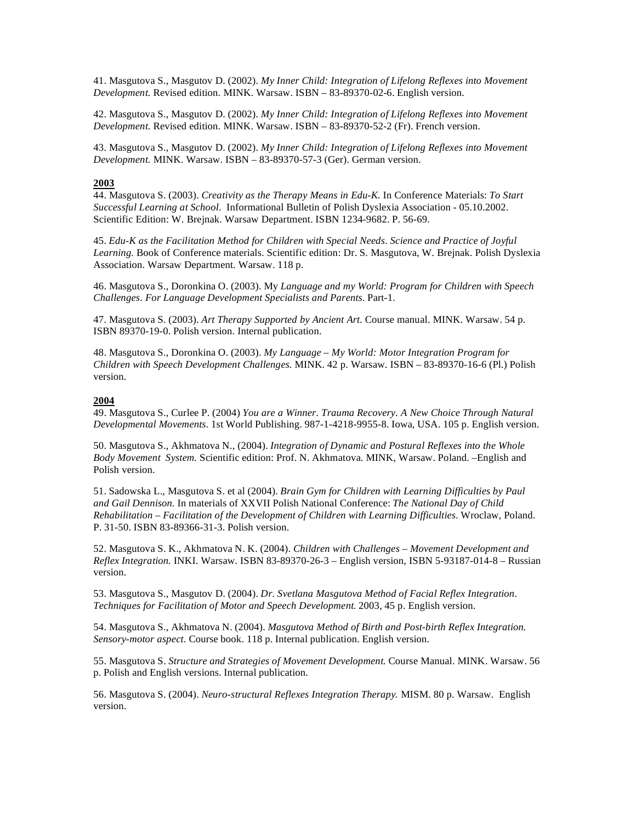41. Masgutova S., Masgutov D. (2002). *My Inner Child: Integration of Lifelong Reflexes into Movement Development.* Revised edition. MINK. Warsaw. ISBN – 83-89370-02-6. English version.

42. Masgutova S., Masgutov D. (2002). *My Inner Child: Integration of Lifelong Reflexes into Movement Development.* Revised edition. MINK. Warsaw. ISBN – 83-89370-52-2 (Fr). French version.

43. Masgutova S., Masgutov D. (2002). *My Inner Child: Integration of Lifelong Reflexes into Movement Development.* MINK. Warsaw. ISBN – 83-89370-57-3 (Ger). German version.

#### **2003**

44. Masgutova S. (2003). *Creativity as the Therapy Means in Edu-K.* In Conference Materials: *To Start Successful Learning at School*. Informational Bulletin of Polish Dyslexia Association - 05.10.2002. Scientific Edition: W. Brejnak. Warsaw Department. ISBN 1234-9682. P. 56-69.

45. *Edu-K as the Facilitation Method for Children with Special Needs. Science and Practice of Joyful Learning.* Book of Conference materials. Scientific edition: Dr. S. Masgutova, W. Brejnak. Polish Dyslexia Association. Warsaw Department. Warsaw. 118 p.

46. Masgutova S., Doronkina O. (2003). My *Language and my World: Program for Children with Speech Challenges. For Language Development Specialists and Parents*. Part-1.

47. Masgutova S. (2003). *Art Therapy Supported by Ancient Art.* Course manual. MINK. Warsaw. 54 p. ISBN 89370-19-0. Polish version. Internal publication.

48. Masgutova S., Doronkina O. (2003). *My Language – My World: Motor Integration Program for Children with Speech Development Challenges.* MINK. 42 p. Warsaw. ISBN – 83-89370-16-6 (Pl.) Polish version.

#### **2004**

49. Masgutova S., Curlee P. (2004) *You are a Winner. Trauma Recovery. A New Choice Through Natural Developmental Movements.* 1st World Publishing. 987-1-4218-9955-8. Iowa, USA. 105 p. English version.

50. Masgutova S., Akhmatova N., (2004). *Integration of Dynamic and Postural Reflexes into the Whole Body Movement System.* Scientific edition: Prof. N. Akhmatova. MINK, Warsaw. Poland. –English and Polish version.

51. Sadowska L., Masgutova S. et al (2004). *Brain Gym for Children with Learning Difficulties by Paul and Gail Dennison.* In materials of XXVII Polish National Conference: *The National Day of Child Rehabilitation – Facilitation of the Development of Children with Learning Difficulties.* Wroclaw, Poland. P. 31-50. ISBN 83-89366-31-3. Polish version.

52. Masgutova S. K., Akhmatova N. K. (2004). *Children with Challenges – Movement Development and Reflex Integration.* INKI. Warsaw. ISBN 83-89370-26-3 – English version, ISBN 5-93187-014-8 – Russian version.

53. Masgutova S., Masgutov D. (2004). *Dr. Svetlana Masgutova Method of Facial Reflex Integration. Techniques for Facilitation of Motor and Speech Development.* 2003, 45 p. English version.

54. Masgutova S., Akhmatova N. (2004). *Masgutova Method of Birth and Post-birth Reflex Integration. Sensory-motor aspect.* Course book. 118 p. Internal publication. English version.

55. Masgutova S. *Structure and Strategies of Movement Development.* Course Manual. MINK. Warsaw. 56 p. Polish and English versions. Internal publication.

56. Masgutova S. (2004). *Neuro-structural Reflexes Integration Therapy.* MISM. 80 p. Warsaw. English version.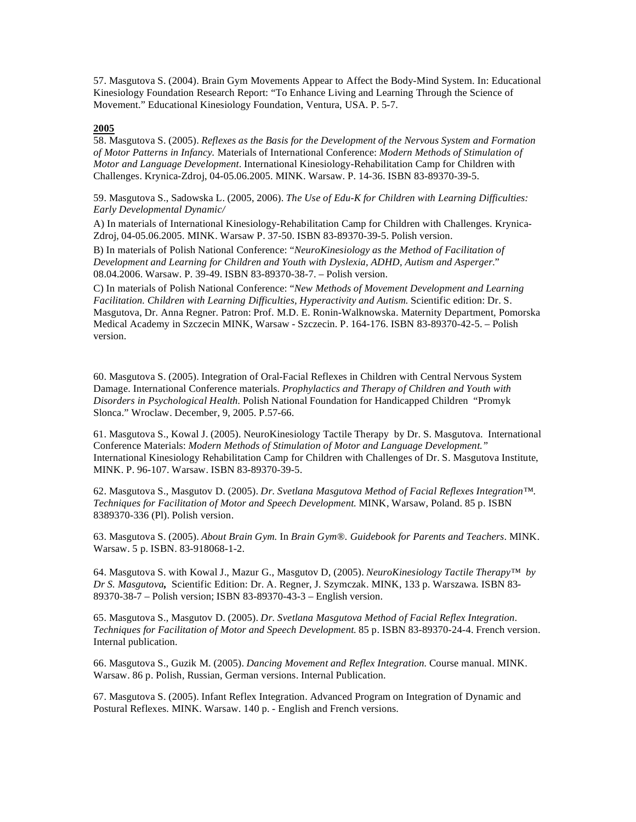57. Masgutova S. (2004). Brain Gym Movements Appear to Affect the Body-Mind System. In: Educational Kinesiology Foundation Research Report: "To Enhance Living and Learning Through the Science of Movement." Educational Kinesiology Foundation, Ventura, USA. P. 5-7.

## **2005**

58. Masgutova S. (2005). *Reflexes as the Basis for the Development of the Nervous System and Formation of Motor Patterns in Infancy.* Materials of International Conference: *Modern Methods of Stimulation of Motor and Language Development*. International Kinesiology-Rehabilitation Camp for Children with Challenges. Krynica-Zdroj, 04-05.06.2005. MINK. Warsaw. P. 14-36. ISBN 83-89370-39-5.

59. Masgutova S., Sadowska L. (2005, 2006). *The Use of Edu-K for Children with Learning Difficulties: Early Developmental Dynamic/*

A) In materials of International Kinesiology-Rehabilitation Camp for Children with Challenges. Krynica-Zdroj, 04-05.06.2005. MINK. Warsaw P. 37-50. ISBN 83-89370-39-5. Polish version.

B) In materials of Polish National Conference: "*NeuroKinesiology as the Method of Facilitation of Development and Learning for Children and Youth with Dyslexia, ADHD, Autism and Asperger.*" 08.04.2006. Warsaw. P. 39-49. ISBN 83-89370-38-7. – Polish version.

C) In materials of Polish National Conference: "*New Methods of Movement Development and Learning Facilitation. Children with Learning Difficulties, Hyperactivity and Autism.* Scientific edition: Dr. S. Masgutova, Dr. Anna Regner. Patron: Prof. M.D. E. Ronin-Walknowska. Maternity Department, Pomorska Medical Academy in Szczecin MINK, Warsaw - Szczecin. P. 164-176. ISBN 83-89370-42-5. – Polish version.

60. Masgutova S. (2005). Integration of Oral-Facial Reflexes in Children with Central Nervous System Damage. International Conference materials. *Prophylactics and Therapy of Children and Youth with Disorders in Psychological Health.* Polish National Foundation for Handicapped Children "Promyk Slonca." Wroclaw. December, 9, 2005. P.57-66.

61. Masgutova S., Kowal J. (2005). NeuroKinesiology Tactile Therapy by Dr. S. Masgutova. International Conference Materials: *Modern Methods of Stimulation of Motor and Language Development."* International Kinesiology Rehabilitation Camp for Children with Challenges of Dr. S. Masgutova Institute, MINK. P. 96-107. Warsaw. ISBN 83-89370-39-5.

62. Masgutova S., Masgutov D. (2005). *Dr. Svetlana Masgutova Method of Facial Reflexes Integration™. Techniques for Facilitation of Motor and Speech Development.* MINK, Warsaw, Poland. 85 p. ISBN 8389370-336 (Pl). Polish version.

63. Masgutova S. (2005). *About Brain Gym.* In *Brain Gym®. Guidebook for Parents and Teachers*. MINK. Warsaw. 5 p. ISBN. 83-918068-1-2.

64. Masgutova S. with Kowal J., Mazur G., Masgutov D, (2005). *NeuroKinesiology Tactile Therapy™ by Dr S. Masgutova,* Scientific Edition: Dr. A. Regner, J. Szymczak. MINK, 133 p. Warszawa. ISBN 83- 89370-38-7 – Polish version; ISBN 83-89370-43-3 – English version.

65. Masgutova S., Masgutov D. (2005). *Dr. Svetlana Masgutova Method of Facial Reflex Integration. Techniques for Facilitation of Motor and Speech Development.* 85 p. ISBN 83-89370-24-4. French version. Internal publication.

66. Masgutova S., Guzik M. (2005). *Dancing Movement and Reflex Integration.* Course manual. MINK. Warsaw. 86 p. Polish, Russian, German versions. Internal Publication.

67. Masgutova S. (2005). Infant Reflex Integration. Advanced Program on Integration of Dynamic and Postural Reflexes. MINK. Warsaw. 140 p. - English and French versions.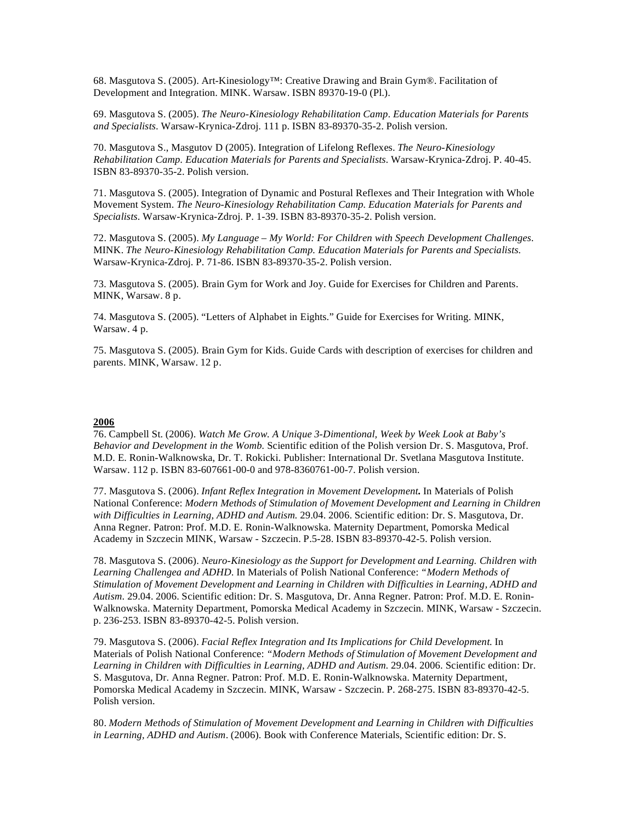68. Masgutova S. (2005). Art-Kinesiology™: Creative Drawing and Brain Gym®. Facilitation of Development and Integration. MINK. Warsaw. ISBN 89370-19-0 (Pl.).

69. Masgutova S. (2005). *The Neuro-Kinesiology Rehabilitation Camp. Education Materials for Parents and Specialists.* Warsaw-Krynica-Zdroj. 111 p. ISBN 83-89370-35-2. Polish version.

70. Masgutova S., Masgutov D (2005). Integration of Lifelong Reflexes. *The Neuro-Kinesiology Rehabilitation Camp. Education Materials for Parents and Specialists.* Warsaw-Krynica-Zdroj. P. 40-45. ISBN 83-89370-35-2. Polish version.

71. Masgutova S. (2005). Integration of Dynamic and Postural Reflexes and Their Integration with Whole Movement System. *The Neuro-Kinesiology Rehabilitation Camp. Education Materials for Parents and Specialists.* Warsaw-Krynica-Zdroj. P. 1-39. ISBN 83-89370-35-2. Polish version.

72. Masgutova S. (2005). *My Language – My World: For Children with Speech Development Challenges.* MINK. *The Neuro-Kinesiology Rehabilitation Camp. Education Materials for Parents and Specialists.* Warsaw-Krynica-Zdroj. P. 71-86. ISBN 83-89370-35-2. Polish version.

73. Masgutova S. (2005). Brain Gym for Work and Joy. Guide for Exercises for Children and Parents. MINK, Warsaw. 8 p.

74. Masgutova S. (2005). "Letters of Alphabet in Eights." Guide for Exercises for Writing. MINK, Warsaw. 4 p.

75. Masgutova S. (2005). Brain Gym for Kids. Guide Cards with description of exercises for children and parents. MINK, Warsaw. 12 p.

## **2006**

76. Campbell St. (2006). *Watch Me Grow. A Unique 3-Dimentional, Week by Week Look at Baby's Behavior and Development in the Womb.* Scientific edition of the Polish version Dr. S. Masgutova, Prof. M.D. E. Ronin-Walknowska, Dr. T. Rokicki. Publisher: International Dr. Svetlana Masgutova Institute. Warsaw. 112 p. ISBN 83-607661-00-0 and 978-8360761-00-7. Polish version.

77. Masgutova S. (2006). *Infant Reflex Integration in Movement Development***.** In Materials of Polish National Conference: *Modern Methods of Stimulation of Movement Development and Learning in Children with Difficulties in Learning, ADHD and Autism*. 29.04. 2006. Scientific edition: Dr. S. Masgutova, Dr. Anna Regner. Patron: Prof. M.D. E. Ronin-Walknowska. Maternity Department, Pomorska Medical Academy in Szczecin MINK, Warsaw - Szczecin. P.5-28. ISBN 83-89370-42-5. Polish version.

78. Masgutova S. (2006). *Neuro-Kinesiology as the Support for Development and Learning. Children with Learning Challengea and ADHD.* In Materials of Polish National Conference: *"Modern Methods of Stimulation of Movement Development and Learning in Children with Difficulties in Learning, ADHD and Autism*. 29.04. 2006. Scientific edition: Dr. S. Masgutova, Dr. Anna Regner. Patron: Prof. M.D. E. Ronin-Walknowska. Maternity Department, Pomorska Medical Academy in Szczecin. MINK, Warsaw - Szczecin. p. 236-253. ISBN 83-89370-42-5. Polish version.

79. Masgutova S. (2006). *Facial Reflex Integration and Its Implications for Child Development.* In Materials of Polish National Conference: *"Modern Methods of Stimulation of Movement Development and Learning in Children with Difficulties in Learning, ADHD and Autism*. 29.04. 2006. Scientific edition: Dr. S. Masgutova, Dr. Anna Regner. Patron: Prof. M.D. E. Ronin-Walknowska. Maternity Department, Pomorska Medical Academy in Szczecin. MINK, Warsaw - Szczecin. P. 268-275. ISBN 83-89370-42-5. Polish version.

80. *Modern Methods of Stimulation of Movement Development and Learning in Children with Difficulties in Learning, ADHD and Autism*. (2006). Book with Conference Materials, Scientific edition: Dr. S.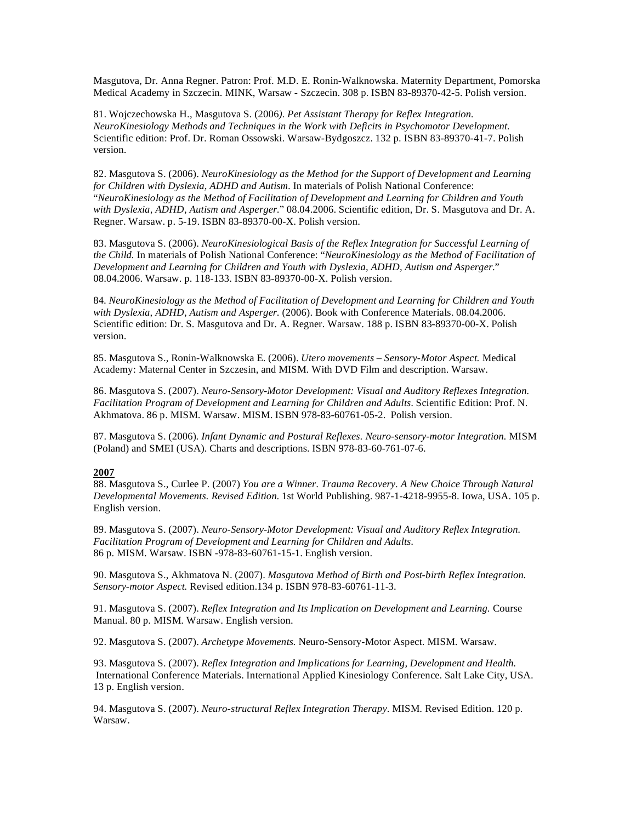Masgutova, Dr. Anna Regner. Patron: Prof. M.D. E. Ronin-Walknowska. Maternity Department, Pomorska Medical Academy in Szczecin. MINK, Warsaw - Szczecin. 308 p. ISBN 83-89370-42-5. Polish version.

81. Wojczechowska H., Masgutova S. (2006*). Pet Assistant Therapy for Reflex Integration. NeuroKinesiology Methods and Techniques in the Work with Deficits in Psychomotor Development.* Scientific edition: Prof. Dr. Roman Ossowski. Warsaw-Bydgoszcz. 132 p. ISBN 83-89370-41-7. Polish version.

82. Masgutova S. (2006). *NeuroKinesiology as the Method for the Support of Development and Learning for Children with Dyslexia, ADHD and Autism.* In materials of Polish National Conference: "*NeuroKinesiology as the Method of Facilitation of Development and Learning for Children and Youth with Dyslexia, ADHD, Autism and Asperger.*" 08.04.2006. Scientific edition, Dr. S. Masgutova and Dr. A. Regner. Warsaw. p. 5-19. ISBN 83-89370-00-X. Polish version.

83. Masgutova S. (2006). *NeuroKinesiological Basis of the Reflex Integration for Successful Learning of the Child.* In materials of Polish National Conference: "*NeuroKinesiology as the Method of Facilitation of Development and Learning for Children and Youth with Dyslexia, ADHD, Autism and Asperger*." 08.04.2006. Warsaw. p. 118-133. ISBN 83-89370-00-X. Polish version.

84*. NeuroKinesiology as the Method of Facilitation of Development and Learning for Children and Youth with Dyslexia, ADHD, Autism and Asperger*. (2006). Book with Conference Materials. 08.04.2006. Scientific edition: Dr. S. Masgutova and Dr. A. Regner. Warsaw. 188 p. ISBN 83-89370-00-X. Polish version.

85. Masgutova S., Ronin-Walknowska E. (2006). *Utero movements – Sensory-Motor Aspect.* Medical Academy: Maternal Center in Szczesin, and MISM. With DVD Film and description. Warsaw.

86. Masgutova S. (2007). *Neuro-Sensory-Motor Development: Visual and Auditory Reflexes Integration. Facilitation Program of Development and Learning for Children and Adults.* Scientific Edition: Prof. N. Akhmatova. 86 p. MISM. Warsaw. MISM. ISBN 978-83-60761-05-2. Polish version.

87. Masgutova S. (2006)*. Infant Dynamic and Postural Reflexes. Neuro-sensory-motor Integration.* MISM (Poland) and SMEI (USA). Charts and descriptions. ISBN 978-83-60-761-07-6.

## **2007**

88. Masgutova S., Curlee P. (2007) *You are a Winner. Trauma Recovery. A New Choice Through Natural Developmental Movements. Revised Edition.* 1st World Publishing. 987-1-4218-9955-8. Iowa, USA. 105 p. English version.

89. Masgutova S. (2007). *Neuro-Sensory-Motor Development: Visual and Auditory Reflex Integration. Facilitation Program of Development and Learning for Children and Adults.* 86 p. MISM. Warsaw. ISBN -978-83-60761-15-1. English version.

90. Masgutova S., Akhmatova N. (2007). *Masgutova Method of Birth and Post-birth Reflex Integration. Sensory-motor Aspect.* Revised edition.134 p. ISBN 978-83-60761-11-3.

91. Masgutova S. (2007). *Reflex Integration and Its Implication on Development and Learning.* Course Manual. 80 p. MISM. Warsaw. English version.

92. Masgutova S. (2007). *Archetype Movements.* Neuro-Sensory-Motor Aspect. MISM. Warsaw.

93. Masgutova S. (2007). *Reflex Integration and Implications for Learning, Development and Health.*  International Conference Materials. International Applied Kinesiology Conference. Salt Lake City, USA. 13 p. English version.

94. Masgutova S. (2007). *Neuro-structural Reflex Integration Therapy*. MISM. Revised Edition. 120 p. Warsaw.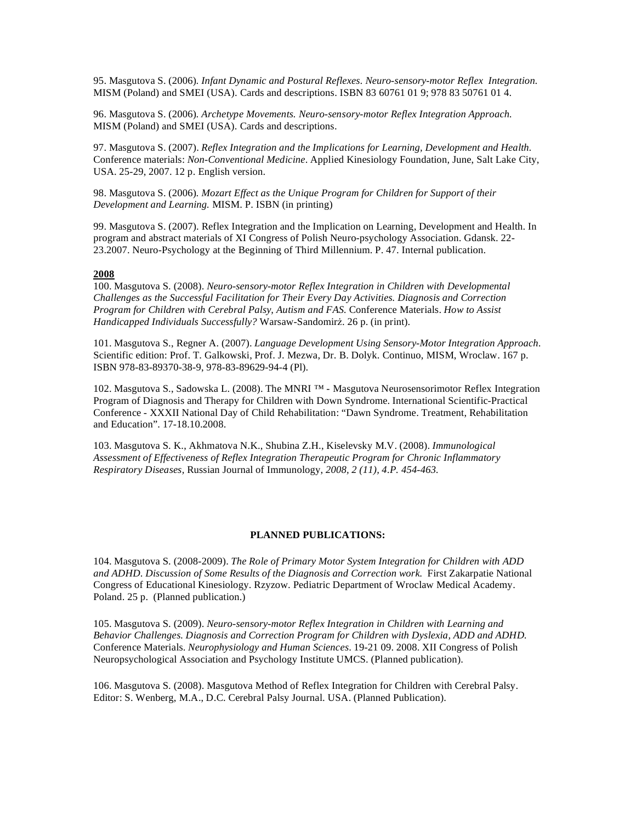95. Masgutova S. (2006)*. Infant Dynamic and Postural Reflexes. Neuro-sensory-motor Reflex Integration.* MISM (Poland) and SMEI (USA). Cards and descriptions. ISBN 83 60761 01 9; 978 83 50761 01 4.

96. Masgutova S. (2006)*. Archetype Movements. Neuro-sensory-motor Reflex Integration Approach.* MISM (Poland) and SMEI (USA). Cards and descriptions.

97. Masgutova S. (2007). *Reflex Integration and the Implications for Learning, Development and Health.*  Conference materials: *Non-Conventional Medicine*. Applied Kinesiology Foundation, June, Salt Lake City, USA. 25-29, 2007. 12 p. English version.

98. Masgutova S. (2006)*. Mozart Effect as the Unique Program for Children for Support of their Development and Learning.* MISM. P. ISBN (in printing)

99. Masgutova S. (2007). Reflex Integration and the Implication on Learning, Development and Health. In program and abstract materials of XI Congress of Polish Neuro-psychology Association. Gdansk. 22- 23.2007. Neuro-Psychology at the Beginning of Third Millennium. P. 47. Internal publication.

## **2008**

100. Masgutova S. (2008). *Neuro-sensory-motor Reflex Integration in Children with Developmental Challenges as the Successful Facilitation for Their Every Day Activities. Diagnosis and Correction Program for Children with Cerebral Palsy, Autism and FAS.* Conference Materials. *How to Assist Handicapped Individuals Successfully?* Warsaw-Sandomirz. 26 p. (in print).

101. Masgutova S., Regner A. (2007). *Language Development Using Sensory-Motor Integration Approach.* Scientific edition: Prof. T. Galkowski, Prof. J. Mezwa, Dr. B. Dolyk. Continuo, MISM, Wroclaw. 167 p. ISBN 978-83-89370-38-9, 978-83-89629-94-4 (Pl).

102. Masgutova S., Sadowska L. (2008). The MNRI ™ - Masgutova Neurosensorimotor Reflex Integration Program of Diagnosis and Therapy for Children with Down Syndrome. International Scientific-Practical Conference - XXXII National Day of Child Rehabilitation: "Dawn Syndrome. Treatment, Rehabilitation and Education". 17-18.10.2008.

103. Masgutova S. K., Akhmatova N.K., Shubina Z.H., Kiselevsky M.V. (2008). *Immunological Assessment of Effectiveness of Reflex Integration Therapeutic Program for Chronic Inflammatory Respiratory Diseases,* Russian Journal of Immunology, *2008, 2 (11), 4.P. 454-463.*

#### **PLANNED PUBLICATIONS:**

104. Masgutova S. (2008-2009). *The Role of Primary Motor System Integration for Children with ADD and ADHD*. *Discussion of Some Results of the Diagnosis and Correction work.* First Zakarpatie National Congress of Educational Kinesiology. Rzyzow. Pediatric Department of Wroclaw Medical Academy. Poland. 25 p. (Planned publication.)

105. Masgutova S. (2009). *Neuro-sensory-motor Reflex Integration in Children with Learning and Behavior Challenges. Diagnosis and Correction Program for Children with Dyslexia, ADD and ADHD.*  Conference Materials. *Neurophysiology and Human Sciences*. 19-21 09. 2008. XII Congress of Polish Neuropsychological Association and Psychology Institute UMCS. (Planned publication).

106. Masgutova S. (2008). Masgutova Method of Reflex Integration for Children with Cerebral Palsy. Editor: S. Wenberg, M.A., D.C. Cerebral Palsy Journal. USA. (Planned Publication).